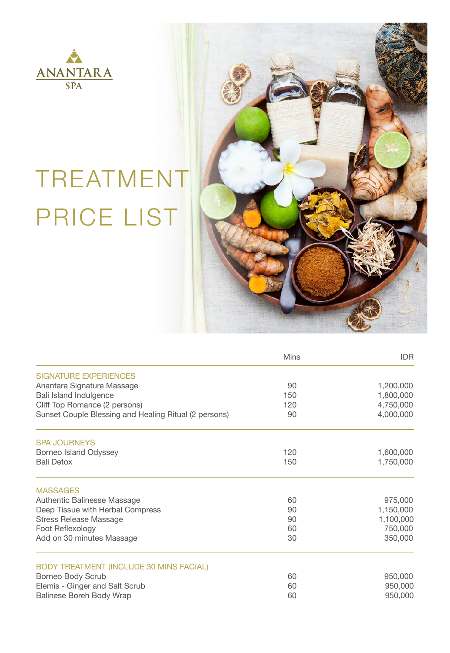

## TREATMENT PRICE LIST



|                                                       | Mins | IDR.      |
|-------------------------------------------------------|------|-----------|
| SIGNATURE EXPERIENCES                                 |      |           |
| Anantara Signature Massage                            | 90   | 1,200,000 |
| Bali Island Indulgence                                | 150  | 1,800,000 |
| Cliff Top Romance (2 persons)                         | 120  | 4,750,000 |
| Sunset Couple Blessing and Healing Ritual (2 persons) | 90   | 4,000,000 |
| <b>SPA JOURNEYS</b>                                   |      |           |
| Borneo Island Odyssey                                 | 120  | 1,600,000 |
| <b>Bali Detox</b>                                     | 150  | 1,750,000 |
| <b>MASSAGES</b>                                       |      |           |
| Authentic Balinesse Massage                           | 60   | 975,000   |
| Deep Tissue with Herbal Compress                      | 90   | 1,150,000 |
| <b>Stress Release Massage</b>                         | 90   | 1,100,000 |
| Foot Reflexology                                      | 60   | 750,000   |
| Add on 30 minutes Massage                             | 30   | 350,000   |
| <b>BODY TREATMENT (INCLUDE 30 MINS FACIAL)</b>        |      |           |
| Borneo Body Scrub                                     | 60   | 950,000   |
| Elemis - Ginger and Salt Scrub                        | 60   | 950,000   |
| <b>Balinese Boreh Body Wrap</b>                       | 60   | 950,000   |